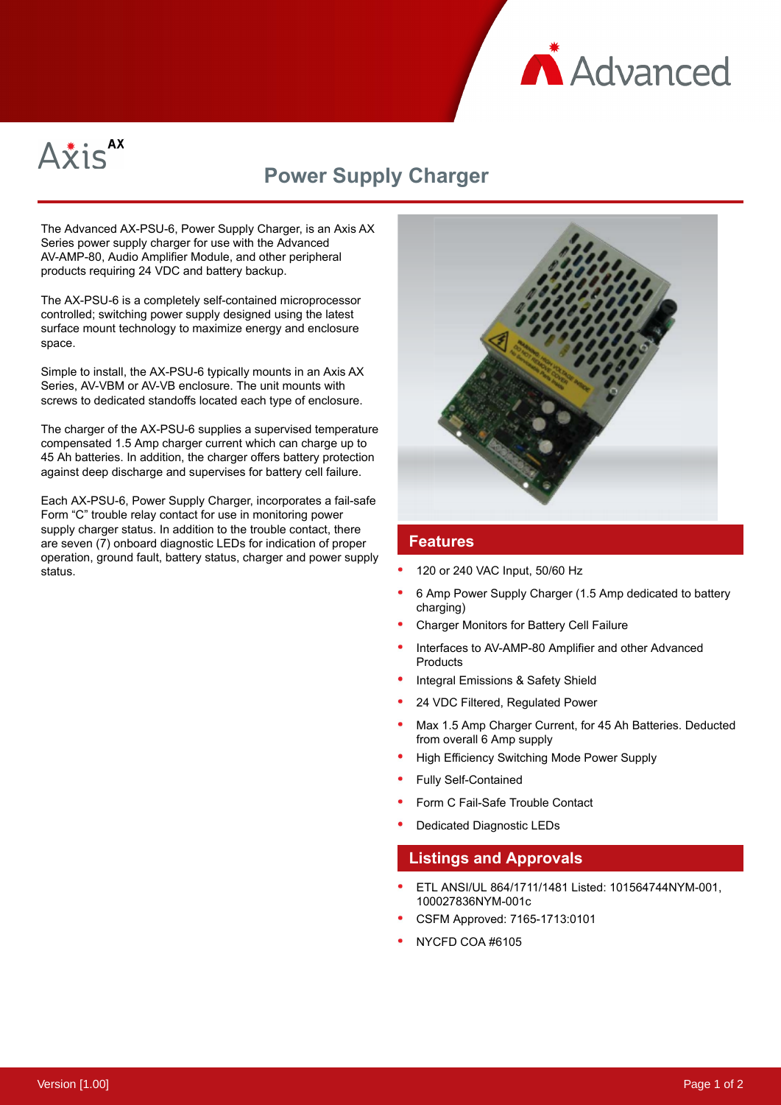



# **Power Supply Charger**

The Advanced AX-PSU-6, Power Supply Charger, is an Axis AX Series power supply charger for use with the Advanced AV-AMP-80, Audio Amplifier Module, and other peripheral products requiring 24 VDC and battery backup.

The AX-PSU-6 is a completely self-contained microprocessor controlled; switching power supply designed using the latest surface mount technology to maximize energy and enclosure space.

Simple to install, the AX-PSU-6 typically mounts in an Axis AX Series, AV-VBM or AV-VB enclosure. The unit mounts with screws to dedicated standoffs located each type of enclosure.

The charger of the AX-PSU-6 supplies a supervised temperature compensated 1.5 Amp charger current which can charge up to 45 Ah batteries. In addition, the charger offers battery protection against deep discharge and supervises for battery cell failure.

Each AX-PSU-6, Power Supply Charger, incorporates a fail-safe Form "C" trouble relay contact for use in monitoring power supply charger status. In addition to the trouble contact, there are seven (7) onboard diagnostic LEDs for indication of proper operation, ground fault, battery status, charger and power supply status.



#### **Features**

- 120 or 240 VAC Input, 50/60 Hz
- 6 Amp Power Supply Charger (1.5 Amp dedicated to battery charging)
- Charger Monitors for Battery Cell Failure
- Interfaces to AV-AMP-80 Amplifier and other Advanced **Products**
- Integral Emissions & Safety Shield
- 24 VDC Filtered, Regulated Power
- Max 1.5 Amp Charger Current, for 45 Ah Batteries. Deducted from overall 6 Amp supply
- High Efficiency Switching Mode Power Supply
- Fully Self-Contained
- Form C Fail-Safe Trouble Contact
- Dedicated Diagnostic LEDs

#### **Listings and Approvals**

- ETL ANSI/UL 864/1711/1481 Listed: 101564744NYM-001, 100027836NYM-001c
- CSFM Approved: 7165-1713:0101
- NYCFD COA #6105